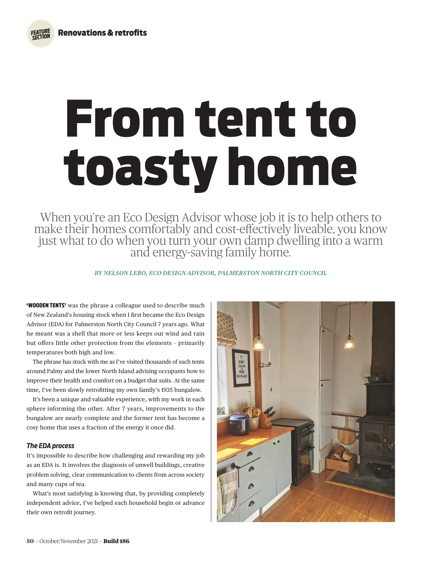*FEATURE SECTION*

# From tent to toasty home

When you're an Eco Design Advisor whose job it is to help others to make their homes comfortably and cost-effectively liveable, you know just what to do when you turn your own damp dwelling into a warm and energy-saving family home.

*BY NELSON LEBO, ECO DESIGN ADVISOR, PALMERSTON NORTH CITY COUNCIL* 

**'WOODEN TENTS'** was the phrase a colleague used to describe much of New Zealand's housing stock when I first became the Eco Design Advisor (EDA) for Palmerston North City Council 7 years ago. What he meant was a shell that more or less keeps out wind and rain but offers little other protection from the elements – primarily temperatures both high and low.

The phrase has stuck with me as I've visited thousands of such tents around Palmy and the lower North Island advising occupants how to improve their health and comfort on a budget that suits. At the same time, I've been slowly retrofitting my own family's 1935 bungalow.

It's been a unique and valuable experience, with my work in each sphere informing the other. After 7 years, improvements to the bungalow are nearly complete and the former tent has become a cosy home that uses a fraction of the energy it once did.

# *The EDA process*

It's impossible to describe how challenging and rewarding my job as an EDA is. It involves the diagnosis of unwell buildings, creative problem solving, clear communication to clients from across society and many cups of tea.

What's most satisfying is knowing that, by providing completely independent advice, I've helped each household begin or advance their own retrofit journey.

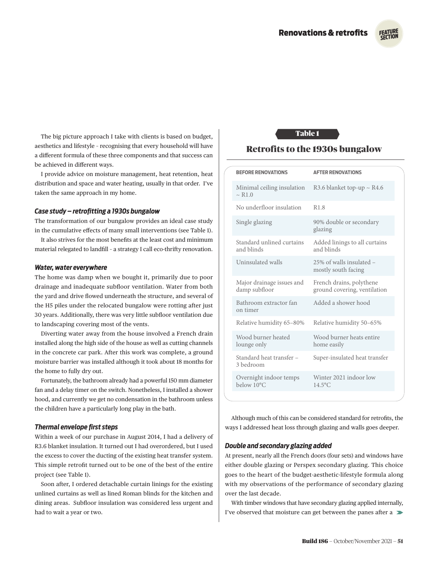

The big picture approach I take with clients is based on budget, aesthetics and lifestyle – recognising that every household will have a different formula of these three components and that success can be achieved in different ways.

I provide advice on moisture management, heat retention, heat distribution and space and water heating, usually in that order. I've taken the same approach in my home.

# *Case study – retrofitting a 1930s bungalow*

The transformation of our bungalow provides an ideal case study in the cumulative effects of many small interventions (see Table 1).

It also strives for the most benefits at the least cost and minimum material relegated to landfill – a strategy I call eco-thrifty renovation.

#### *Water, water everywhere*

The home was damp when we bought it, primarily due to poor drainage and inadequate subfloor ventilation. Water from both the yard and drive flowed underneath the structure, and several of the H5 piles under the relocated bungalow were rotting after just 30 years. Additionally, there was very little subfloor ventilation due to landscaping covering most of the vents.

Diverting water away from the house involved a French drain installed along the high side of the house as well as cutting channels in the concrete car park. After this work was complete, a ground moisture barrier was installed although it took about 18 months for the home to fully dry out.

Fortunately, the bathroom already had a powerful 150 mm diameter fan and a delay timer on the switch. Nonetheless, I installed a shower hood, and currently we get no condensation in the bathroom unless the children have a particularly long play in the bath.

# *Thermal envelope first steps*

Within a week of our purchase in August 2014, I had a delivery of R3.6 blanket insulation. It turned out I had overordered, but I used the excess to cover the ducting of the existing heat transfer system. This simple retrofit turned out to be one of the best of the entire project (see Table 1).

Soon after, I ordered detachable curtain linings for the existing unlined curtains as well as lined Roman blinds for the kitchen and dining areas. Subfloor insulation was considered less urgent and had to wait a year or two.

# Table 1

# Retrofits to the 1930s bungalow

|  | <b>BEFORE RENOVATIONS</b>                             | <b>AFTER RENOVATIONS</b>                                 |  |
|--|-------------------------------------------------------|----------------------------------------------------------|--|
|  | Minimal ceiling insulation<br>$\sim$ R <sub>1.0</sub> | R3.6 blanket top-up $\sim$ R4.6                          |  |
|  | No underfloor insulation                              | R <sub>1.8</sub>                                         |  |
|  | Single glazing                                        | 90% double or secondary<br>glazing                       |  |
|  | Standard unlined curtains<br>and blinds               | Added linings to all curtains<br>and blinds              |  |
|  | Uninsulated walls                                     | 25% of walls insulated -<br>mostly south facing          |  |
|  | Major drainage issues and<br>damp subfloor            | French drains, polythene<br>ground covering, ventilation |  |
|  | Bathroom extractor fan<br>on timer                    | Added a shower hood                                      |  |
|  | Relative humidity 65-80%                              | Relative humidity 50-65%                                 |  |
|  | Wood burner heated<br>lounge only                     | Wood burner heats entire<br>home easily                  |  |
|  | Standard heat transfer -<br>3 bedroom                 | Super-insulated heat transfer                            |  |
|  | Overnight indoor temps<br>below 10°C                  | Winter 2021 indoor low<br>$14.5^{\circ}$ C               |  |
|  |                                                       |                                                          |  |

Although much of this can be considered standard for retrofits, the ways I addressed heat loss through glazing and walls goes deeper.

# *Double and secondary glazing added*

At present, nearly all the French doors (four sets) and windows have either double glazing or Perspex secondary glazing. This choice goes to the heart of the budget-aesthetic-lifestyle formula along with my observations of the performance of secondary glazing over the last decade.

With timber windows that have secondary glazing applied internally, I've observed that moisture can get between the panes after a  $\blacktriangleright$